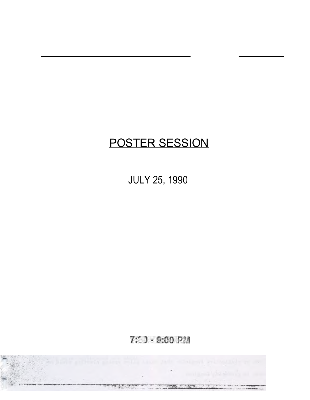# POSTER SESSION

JULY 25, 1990

# 7: 3 - 9:00 PM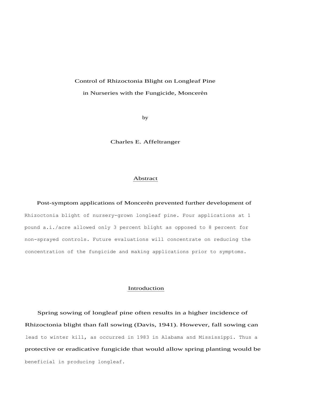#### Control of Rhizoctonia Blight on Longleaf Pine

#### in Nurseries with the Fungicide, Moncerèn

by

Charles E. Affeltranger

#### Abstract

Post-symptom applications of Moncerèn prevented further development of

Rhizoctonia blight of nursery-grown longleaf pine. Four applications at 1 pound a.i./acre allowed only 3 percent blight as opposed to 8 percent for non-sprayed controls. Future evaluations will concentrate on reducing the concentration of the fungicide and making applications prior to symptoms.

#### Introduction

Spring sowing of longleaf pine often results in a higher incidence of Rhizoctonia blight than fall sowing (Davis, 1941). However, fall sowing can lead to winter kill, as occurred in 1983 in Alabama and Mississippi. Thus a protective or eradicative fungicide that would allow spring planting would be beneficial in producing longleaf.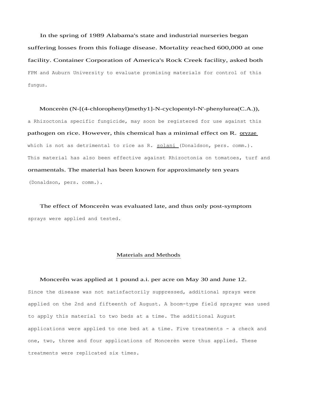In the spring of 1989 Alabama's state and industrial nurseries began suffering losses from this foliage disease. Mortality reached 600,000 at one facility. Container Corporation of America's Rock Creek facility, asked both FPM and Auburn University to evaluate promising materials for control of this fungus.

Moncerèn (N-[(4-chlorophenyl)methy1]-N-cyclopentyl-N'-phenylurea(C.A.)), a Rhizoctonia specific fungicide, may soon be registered for use against this pathogen on rice. However, this chemical has a minimal effect on R. oryzae which is not as detrimental to rice as R. solani (Donaldson, pers. comm.). This material has also been effective against Rhizoctonia on tomatoes, turf and ornamentals. The material has been known for approximately ten years (Donaldson, pers. comm.).

The effect of Moncerèn was evaluated late, and thus only post-symptom sprays were applied and tested.

#### Materials and Methods

#### Moncerên was applied at 1 pound a.i. per acre on May 30 and June 12.

Since the disease was not satisfactorily suppressed, additional sprays were applied on the 2nd and fifteenth of August. A boom-type field sprayer was used to apply this material to two beds at a time. The additional August applications were applied to one bed at a time. Five treatments - a check and one, two, three and four applications of Moncerèn were thus applied. These treatments were replicated six times.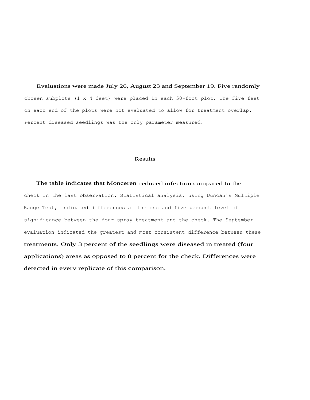Evaluations were made July 26, August 23 and September 19. Five randomly chosen subplots (1 x 4 feet) were placed in each 50-foot plot. The five feet on each end of the plots were not evaluated to allow for treatment overlap. Percent diseased seedlings was the only parameter measured.

#### Results

The table indicates that Monceren reduced infection compared to the check in the last observation. Statistical analysis, using Duncan's Multiple Range Test, indicated differences at the one and five percent level of significance between the four spray treatment and the check. The September evaluation indicated the greatest and most consistent difference between these treatments. Only 3 percent of the seedlings were diseased in treated (four applications) areas as opposed to 8 percent for the check. Differences were detected in every replicate of this comparison.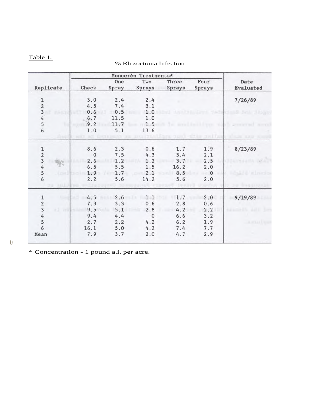# Table 1.

### % Rhizoctonia Infection

| Replicate                                    | Monceren Treatments* |              |               |                 |                |                   |
|----------------------------------------------|----------------------|--------------|---------------|-----------------|----------------|-------------------|
|                                              | Check                | One<br>Spray | Two<br>Sprays | Three<br>Sprays | Four<br>Sprays | Date<br>Evaluated |
| 1                                            | 3.0                  | 2.4          | 2.4           |                 |                | 7/26/89           |
|                                              | 4.5                  | 7.4          | 3.1           |                 |                |                   |
| $\frac{2}{3}$                                | 0.6                  | 0.5          | 1.0           |                 |                |                   |
| 4                                            | 6.7                  | 11.5         | 1.0           |                 |                |                   |
|                                              | 9.2                  | 11.7         | 1.5           |                 |                |                   |
| $\frac{5}{6}$                                | 1.0                  | 5.1          | 13.6          |                 |                |                   |
|                                              | 8.6                  | 2.3          | 0.6           | 1.7             | 1.9            | 8/23/89           |
|                                              | $\mathbf{0}$         | 7.5          | 4.3           | 3.4             | 2.1            |                   |
| $\begin{array}{c}\n1 \\ 2 \\ 3\n\end{array}$ | 2.6                  | 1.2          | 1.2           | 3.7             | 2.5            |                   |
| $\sqrt{4}$                                   | 6.5                  | 5.5          | 1.5           | 16.2            | 2.0            |                   |
| 5                                            | 1.9                  | 1.7          | 2.1           | 8.5             | $\mathbf{0}$   |                   |
| 6                                            | 2.2                  | 5.6          | 14.2          | 5.6             | 2.0            |                   |
|                                              |                      |              |               |                 |                |                   |
| $\mathbf 1$                                  | 4.5                  | 2.6          | 1.1           | 1.7             | 2.0            | 9/19/89           |
| $\frac{2}{3}$                                | 7.3                  | 3.3          | 0.6           | 2.8             | 0.6            |                   |
|                                              | 9.5                  | 5.1          | 2.8           | 4.2             | 2.2            |                   |
| $\begin{array}{c}\n4 \\ 5 \\ 6\n\end{array}$ | 9.4                  | 4.4          | $\mathbf{0}$  | 6.6             | 3.2            |                   |
|                                              | 2.7                  | 2.2          | 4.2           | 6.2             | 1.9            |                   |
|                                              | 16.1                 | 5.0          | 4.2           | 7.4             | 7.7            |                   |
| Mean                                         | 7.9                  | 3.7          | 2.0           | 4.7             | 2.9            |                   |
|                                              |                      |              |               |                 |                |                   |

0

\* Concentration - 1 pound a.i. per acre.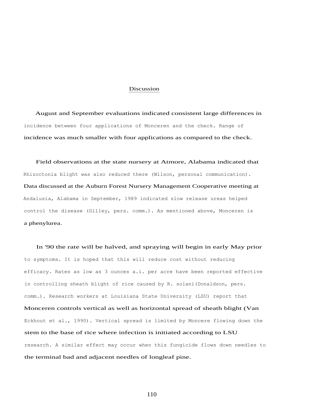#### Discussion

August and September evaluations indicated consistent large differences in incidence between four applications of Monceren and the check. Range of incidence was much smaller with four applications as compared to the check.

Field observations at the state nursery at Atmore, Alabama indicated that Rhizoctonia blight was also reduced there (Wilson, personal communication). Data discussed at the Auburn Forest Nursery Management Cooperative meeting at Andalusia, Alabama in September, 1989 indicated slow release ureas helped control the disease (Gilley, pers. comm.). As mentioned above, Monceren is a phenylurea.

In '90 the rate will be halved, and spraying will begin in early May prior to symptoms. It is hoped that this will reduce cost without reducing efficacy. Rates as low as 3 ounces a.i. per acre have been reported effective in controlling sheath blight of rice caused by R. solani(Donaldson, pers. comm.). Research workers at Louisiana State University (LSU) report that Monceren controls vertical as well as horizontal spread of sheath blight (Van Eckhout et al., 1990). Vertical spread is limited by Moncere flowing down the stem to the base of rice where infection is initiated according to LSU research. A similar effect may occur when this fungicide flows down needles to the terminal bad and adjacent needles of longleaf pine.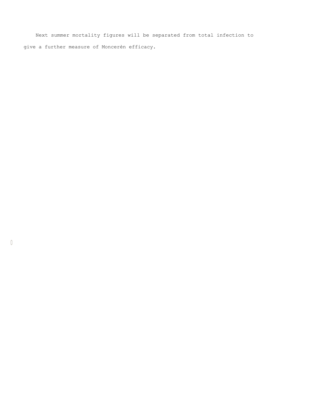Next summer mortality figures will be separated from total infection to give a further measure of Moncerèn efficacy.